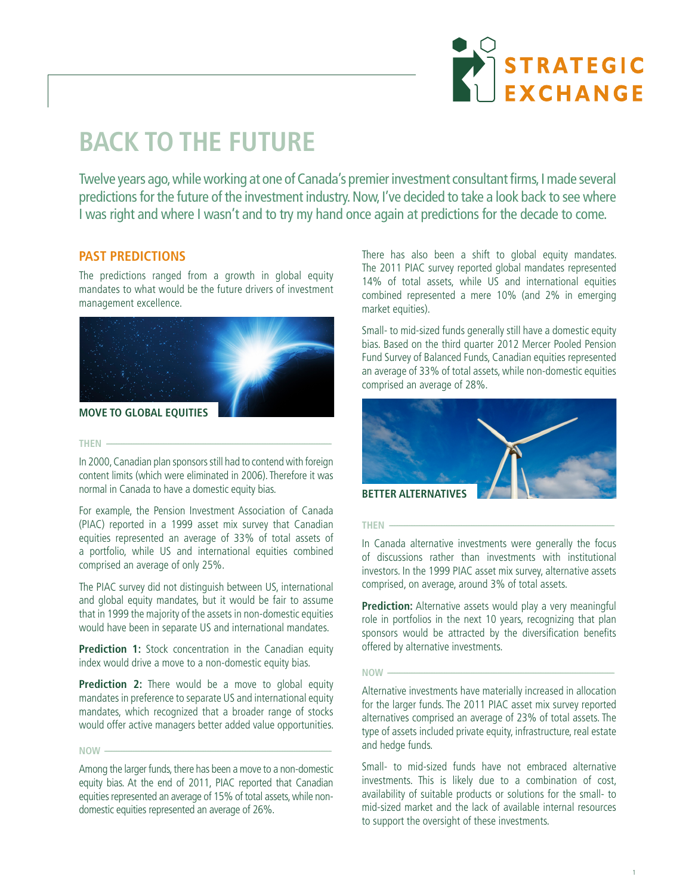

# **BACK TO THE FUTURE**

Twelve years ago, while working at one of Canada's premier investment consultant firms, I made several predictions for the future of the investment industry. Now, I've decided to take a look back to see where I was right and where I wasn't and to try my hand once again at predictions for the decade to come.

# **PAST PREDICTIONS**

The predictions ranged from a growth in global equity mandates to what would be the future drivers of investment management excellence.



**MOVE TO GLOBAL EQUITIES**

#### **THEN ---**

In 2000, Canadian plan sponsors still had to contend with foreign content limits (which were eliminated in 2006). Therefore it was normal in Canada to have a domestic equity bias.

For example, the Pension Investment Association of Canada (PIAC) reported in a 1999 asset mix survey that Canadian equities represented an average of 33% of total assets of a portfolio, while US and international equities combined comprised an average of only 25%.

The PIAC survey did not distinguish between US, international and global equity mandates, but it would be fair to assume that in 1999 the majority of the assets in non-domestic equities would have been in separate US and international mandates.

**Prediction 1:** Stock concentration in the Canadian equity index would drive a move to a non-domestic equity bias.

**Prediction 2:** There would be a move to global equity mandates in preference to separate US and international equity mandates, which recognized that a broader range of stocks would offer active managers better added value opportunities.

**NOW ---------------------------------------------------------------------------------------------------------------------------------------**

Among the larger funds, there has been a move to a non-domestic equity bias. At the end of 2011, PIAC reported that Canadian equities represented an average of 15% of total assets, while nondomestic equities represented an average of 26%.

There has also been a shift to global equity mandates. The 2011 PIAC survey reported global mandates represented 14% of total assets, while US and international equities combined represented a mere 10% (and 2% in emerging market equities).

Small- to mid-sized funds generally still have a domestic equity bias. Based on the third quarter 2012 Mercer Pooled Pension Fund Survey of Balanced Funds, Canadian equities represented an average of 33% of total assets, while non-domestic equities comprised an average of 28%.



**BETTER ALTERNATIVES**

#### **THEN --------------------------------------------------------------------------------------------------------------------------------------**

In Canada alternative investments were generally the focus of discussions rather than investments with institutional investors. In the 1999 PIAC asset mix survey, alternative assets comprised, on average, around 3% of total assets.

**Prediction:** Alternative assets would play a very meaningful role in portfolios in the next 10 years, recognizing that plan sponsors would be attracted by the diversification benefits offered by alternative investments.

# **NOW ---------------------------------------------------------------------------------------------------------------------------------------**

Alternative investments have materially increased in allocation for the larger funds. The 2011 PIAC asset mix survey reported alternatives comprised an average of 23% of total assets. The type of assets included private equity, infrastructure, real estate and hedge funds.

Small- to mid-sized funds have not embraced alternative investments. This is likely due to a combination of cost, availability of suitable products or solutions for the small- to mid-sized market and the lack of available internal resources to support the oversight of these investments.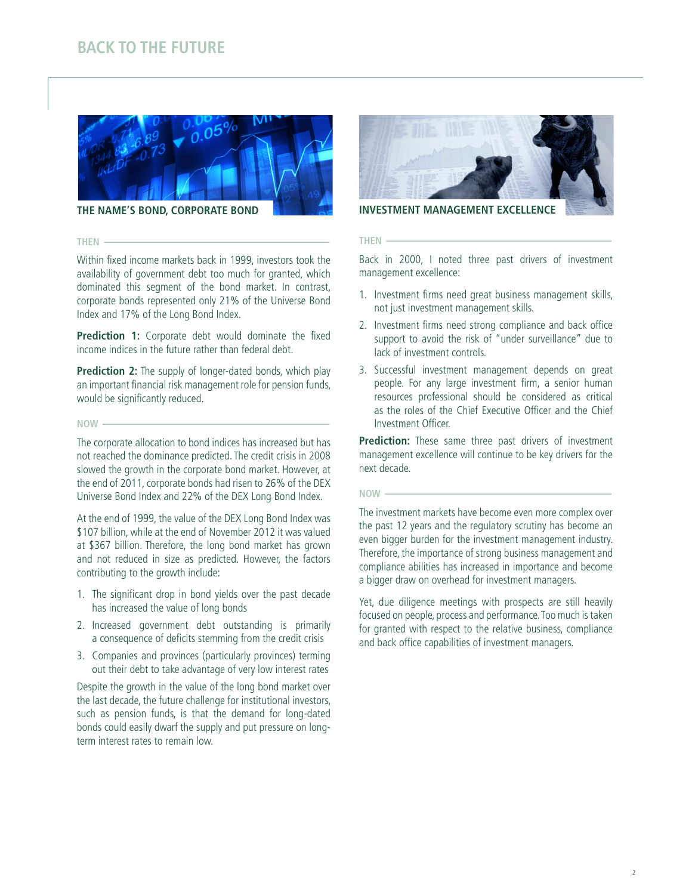# **BACK TO THE FUTURE**



**THE NAME'S BOND, CORPORATE BOND**

#### **THEN --------------------------------------------------------------------------------------------------------------------------------------**

Within fixed income markets back in 1999, investors took the availability of government debt too much for granted, which dominated this segment of the bond market. In contrast, corporate bonds represented only 21% of the Universe Bond Index and 17% of the Long Bond Index.

Prediction 1: Corporate debt would dominate the fixed income indices in the future rather than federal debt.

**Prediction 2:** The supply of longer-dated bonds, which play an important financial risk management role for pension funds, would be significantly reduced.

#### **NOW ---------------------------------------------------------------------------------------------------------------------------------------**

The corporate allocation to bond indices has increased but has not reached the dominance predicted. The credit crisis in 2008 slowed the growth in the corporate bond market. However, at the end of 2011, corporate bonds had risen to 26% of the DEX Universe Bond Index and 22% of the DEX Long Bond Index.

At the end of 1999, the value of the DEX Long Bond Index was \$107 billion, while at the end of November 2012 it was valued at \$367 billion. Therefore, the long bond market has grown and not reduced in size as predicted. However, the factors contributing to the growth include:

- 1. The significant drop in bond yields over the past decade has increased the value of long bonds
- 2. Increased government debt outstanding is primarily a consequence of deficits stemming from the credit crisis
- 3. Companies and provinces (particularly provinces) terming out their debt to take advantage of very low interest rates

Despite the growth in the value of the long bond market over the last decade, the future challenge for institutional investors, such as pension funds, is that the demand for long-dated bonds could easily dwarf the supply and put pressure on longterm interest rates to remain low.



**INVESTMENT MANAGEMENT EXCELLENCE**

#### **THEN --------------------------------------------------------------------------------------------------------------------------------------**

Back in 2000, I noted three past drivers of investment management excellence:

- 1. Investment firms need great business management skills, not just investment management skills.
- 2. Investment firms need strong compliance and back office support to avoid the risk of "under surveillance" due to lack of investment controls.
- 3. Successful investment management depends on great people. For any large investment firm, a senior human resources professional should be considered as critical as the roles of the Chief Executive Officer and the Chief Investment Officer.

Prediction: These same three past drivers of investment management excellence will continue to be key drivers for the next decade.

#### **NOW ---------------------------------------------------------------------------------------------------------------------------------------**

The investment markets have become even more complex over the past 12 years and the regulatory scrutiny has become an even bigger burden for the investment management industry. Therefore, the importance of strong business management and compliance abilities has increased in importance and become a bigger draw on overhead for investment managers.

Yet, due diligence meetings with prospects are still heavily focused on people, process and performance. Too much is taken for granted with respect to the relative business, compliance and back office capabilities of investment managers.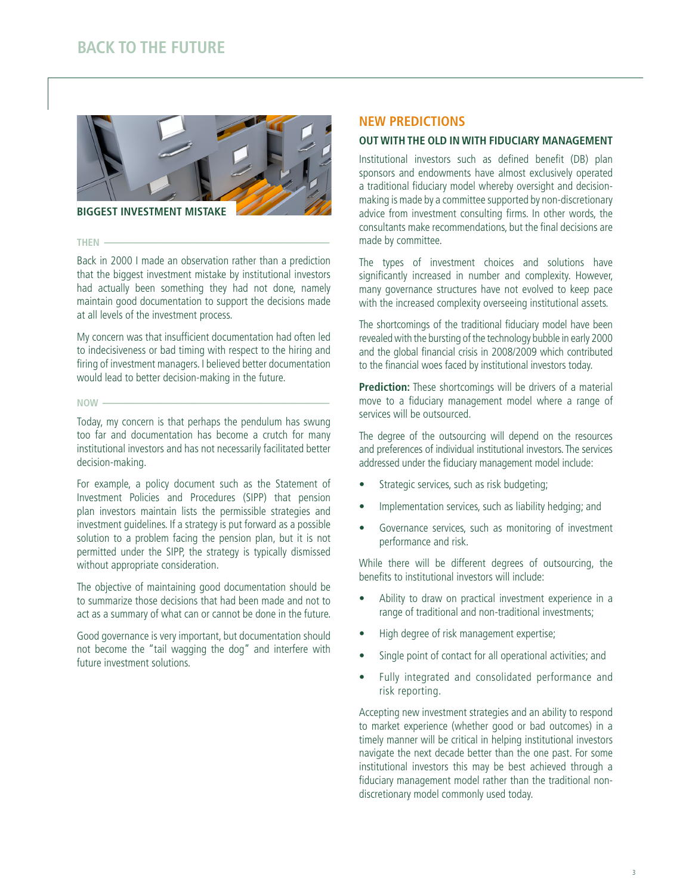

**BIGGEST INVESTMENT MISTAKE**

#### **THEN --------------------------------------------------------------------------------------------------------------------------------------**

Back in 2000 I made an observation rather than a prediction that the biggest investment mistake by institutional investors had actually been something they had not done, namely maintain good documentation to support the decisions made at all levels of the investment process.

My concern was that insufficient documentation had often led to indecisiveness or bad timing with respect to the hiring and firing of investment managers. I believed better documentation would lead to better decision-making in the future.

#### **NOW ---------------------------------------------------------------------------------------------------------------------------------------**

Today, my concern is that perhaps the pendulum has swung too far and documentation has become a crutch for many institutional investors and has not necessarily facilitated better decision-making.

For example, a policy document such as the Statement of Investment Policies and Procedures (SIPP) that pension plan investors maintain lists the permissible strategies and investment guidelines. If a strategy is put forward as a possible solution to a problem facing the pension plan, but it is not permitted under the SIPP, the strategy is typically dismissed without appropriate consideration.

The objective of maintaining good documentation should be to summarize those decisions that had been made and not to act as a summary of what can or cannot be done in the future.

Good governance is very important, but documentation should not become the "tail wagging the dog" and interfere with future investment solutions.

## **NEW PREDICTIONS**

### **OUT WITH THE OLD IN WITH FIDUCIARY MANAGEMENT**

Institutional investors such as defined benefit (DB) plan sponsors and endowments have almost exclusively operated a traditional fiduciary model whereby oversight and decisionmaking is made by a committee supported by non-discretionary advice from investment consulting firms. In other words, the consultants make recommendations, but the final decisions are made by committee.

The types of investment choices and solutions have significantly increased in number and complexity. However, many governance structures have not evolved to keep pace with the increased complexity overseeing institutional assets.

The shortcomings of the traditional fiduciary model have been revealed with the bursting of the technology bubble in early 2000 and the global financial crisis in 2008/2009 which contributed to the financial woes faced by institutional investors today.

**Prediction:** These shortcomings will be drivers of a material move to a fiduciary management model where a range of services will be outsourced.

The degree of the outsourcing will depend on the resources and preferences of individual institutional investors. The services addressed under the fiduciary management model include:

- • Strategic services, such as risk budgeting;
- Implementation services, such as liability hedging; and
- Governance services, such as monitoring of investment performance and risk.

While there will be different degrees of outsourcing, the benefits to institutional investors will include:

- Ability to draw on practical investment experience in a range of traditional and non-traditional investments;
- High degree of risk management expertise;
- Single point of contact for all operational activities; and
- Fully integrated and consolidated performance and risk reporting.

Accepting new investment strategies and an ability to respond to market experience (whether good or bad outcomes) in a timely manner will be critical in helping institutional investors navigate the next decade better than the one past. For some institutional investors this may be best achieved through a fiduciary management model rather than the traditional nondiscretionary model commonly used today.